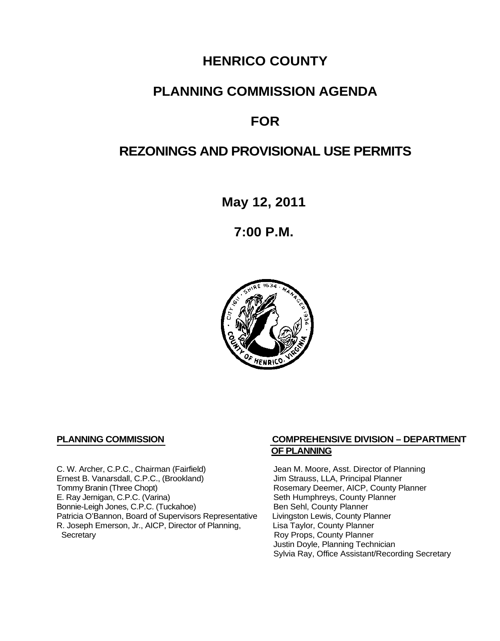## **HENRICO COUNTY**

## **PLANNING COMMISSION AGENDA**

# **FOR**

## **REZONINGS AND PROVISIONAL USE PERMITS**

**May 12, 2011**

**7:00 P.M.**



C. W. Archer, C.P.C., Chairman (Fairfield) Jean M. Moore, Asst. Director of Planning<br>
Ernest B. Vanarsdall, C.P.C., (Brookland) Jim Strauss, LLA, Principal Planner Ernest B. Vanarsdall, C.P.C., (Brookland)<br>Tommy Branin (Three Chopt) Tommy Branin (Three Chopt)<br>
E. Ray Jernigan, C.P.C. (Varina) Seth Humphreys, County Planner E. Ray Jernigan, C.P.C. (Varina) Bonnie-Leigh Jones, C.P.C. (Tuckahoe) Ben Sehl, County Planner<br>Patricia O'Bannon, Board of Supervisors Representative Livingston Lewis, County Planner Patricia O'Bannon, Board of Supervisors Representative Livingston Lewis, County Planner<br>R. Joseph Emerson, Jr., AICP, Director of Planning, Lisa Taylor, County Planner R. Joseph Emerson, Jr., AICP, Director of Planning, Secretary

#### **PLANNING COMMISSION COMPREHENSIVE DIVISION – DEPARTMENT OF PLANNING**

Seth Humphreys, County Planner<br>Ben Sehl, County Planner Roy Props, County Planner Justin Doyle, Planning Technician Sylvia Ray, Office Assistant/Recording Secretary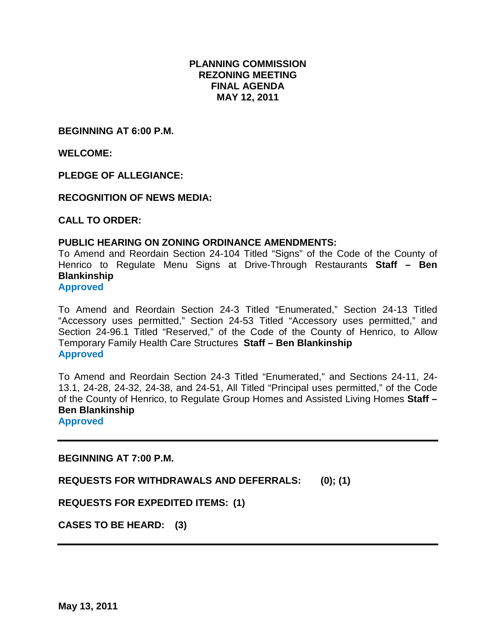#### **PLANNING COMMISSION REZONING MEETING FINAL AGENDA MAY 12, 2011**

**BEGINNING AT 6:00 P.M.**

**WELCOME:**

**PLEDGE OF ALLEGIANCE:**

**RECOGNITION OF NEWS MEDIA:**

**CALL TO ORDER:**

#### **PUBLIC HEARING ON ZONING ORDINANCE AMENDMENTS:**

To Amend and Reordain Section 24-104 Titled "Signs" of the Code of the County of Henrico to Regulate Menu Signs at Drive-Through Restaurants **Staff – Ben Blankinship**

**Approved**

To Amend and Reordain Section 24-3 Titled "Enumerated," Section 24-13 Titled "Accessory uses permitted," Section 24-53 Titled "Accessory uses permitted," and Section 24-96.1 Titled "Reserved," of the Code of the County of Henrico, to Allow Temporary Family Health Care Structures **Staff – Ben Blankinship Approved**

To Amend and Reordain Section 24-3 Titled "Enumerated," and Sections 24-11, 24- 13.1, 24-28, 24-32, 24-38, and 24-51, All Titled "Principal uses permitted," of the Code of the County of Henrico, to Regulate Group Homes and Assisted Living Homes **Staff – Ben Blankinship**

**Approved**

**BEGINNING AT 7:00 P.M.**

**REQUESTS FOR WITHDRAWALS AND DEFERRALS: (0); (1)**

**REQUESTS FOR EXPEDITED ITEMS: (1)**

**CASES TO BE HEARD: (3)**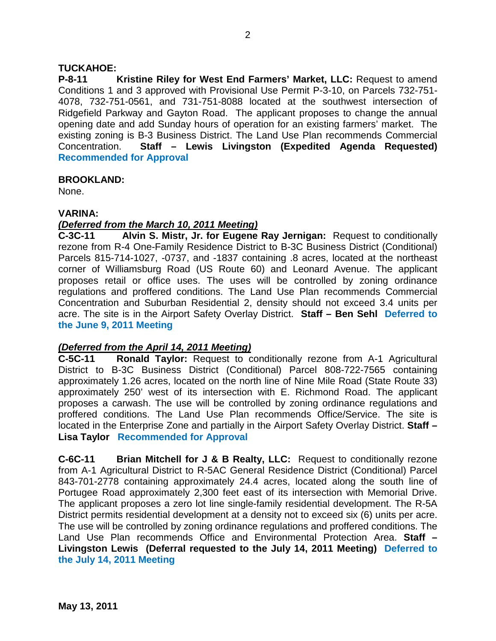#### **TUCKAHOE:**

**P-8-11 Kristine Riley for West End Farmers' Market, LLC:** Request to amend Conditions 1 and 3 approved with Provisional Use Permit P-3-10, on Parcels 732-751- 4078, 732-751-0561, and 731-751-8088 located at the southwest intersection of Ridgefield Parkway and Gayton Road. The applicant proposes to change the annual opening date and add Sunday hours of operation for an existing farmers' market. The existing zoning is B-3 Business District. The Land Use Plan recommends Commercial Concentration. **Staff – Lewis Livingston (Expedited Agenda Requested) Recommended for Approval**

#### **BROOKLAND:**

None.

#### **VARINA:**

#### *(Deferred from the March 10, 2011 Meeting)*

**C-3C-11 Alvin S. Mistr, Jr. for Eugene Ray Jernigan:** Request to conditionally rezone from R-4 One-Family Residence District to B-3C Business District (Conditional) Parcels 815-714-1027, -0737, and -1837 containing .8 acres, located at the northeast corner of Williamsburg Road (US Route 60) and Leonard Avenue. The applicant proposes retail or office uses. The uses will be controlled by zoning ordinance regulations and proffered conditions. The Land Use Plan recommends Commercial Concentration and Suburban Residential 2, density should not exceed 3.4 units per acre. The site is in the Airport Safety Overlay District. **Staff – Ben Sehl Deferred to the June 9, 2011 Meeting**

### *(Deferred from the April 14, 2011 Meeting)*

**C-5C-11 Ronald Taylor:** Request to conditionally rezone from A-1 Agricultural District to B-3C Business District (Conditional) Parcel 808-722-7565 containing approximately 1.26 acres, located on the north line of Nine Mile Road (State Route 33) approximately 250' west of its intersection with E. Richmond Road. The applicant proposes a carwash. The use will be controlled by zoning ordinance regulations and proffered conditions. The Land Use Plan recommends Office/Service. The site is located in the Enterprise Zone and partially in the Airport Safety Overlay District. **Staff – Lisa Taylor Recommended for Approval**

**C-6C-11 Brian Mitchell for J & B Realty, LLC:** Request to conditionally rezone from A-1 Agricultural District to R-5AC General Residence District (Conditional) Parcel 843-701-2778 containing approximately 24.4 acres, located along the south line of Portugee Road approximately 2,300 feet east of its intersection with Memorial Drive. The applicant proposes a zero lot line single-family residential development. The R-5A District permits residential development at a density not to exceed six (6) units per acre. The use will be controlled by zoning ordinance regulations and proffered conditions. The Land Use Plan recommends Office and Environmental Protection Area. **Staff – Livingston Lewis (Deferral requested to the July 14, 2011 Meeting) Deferred to the July 14, 2011 Meeting**